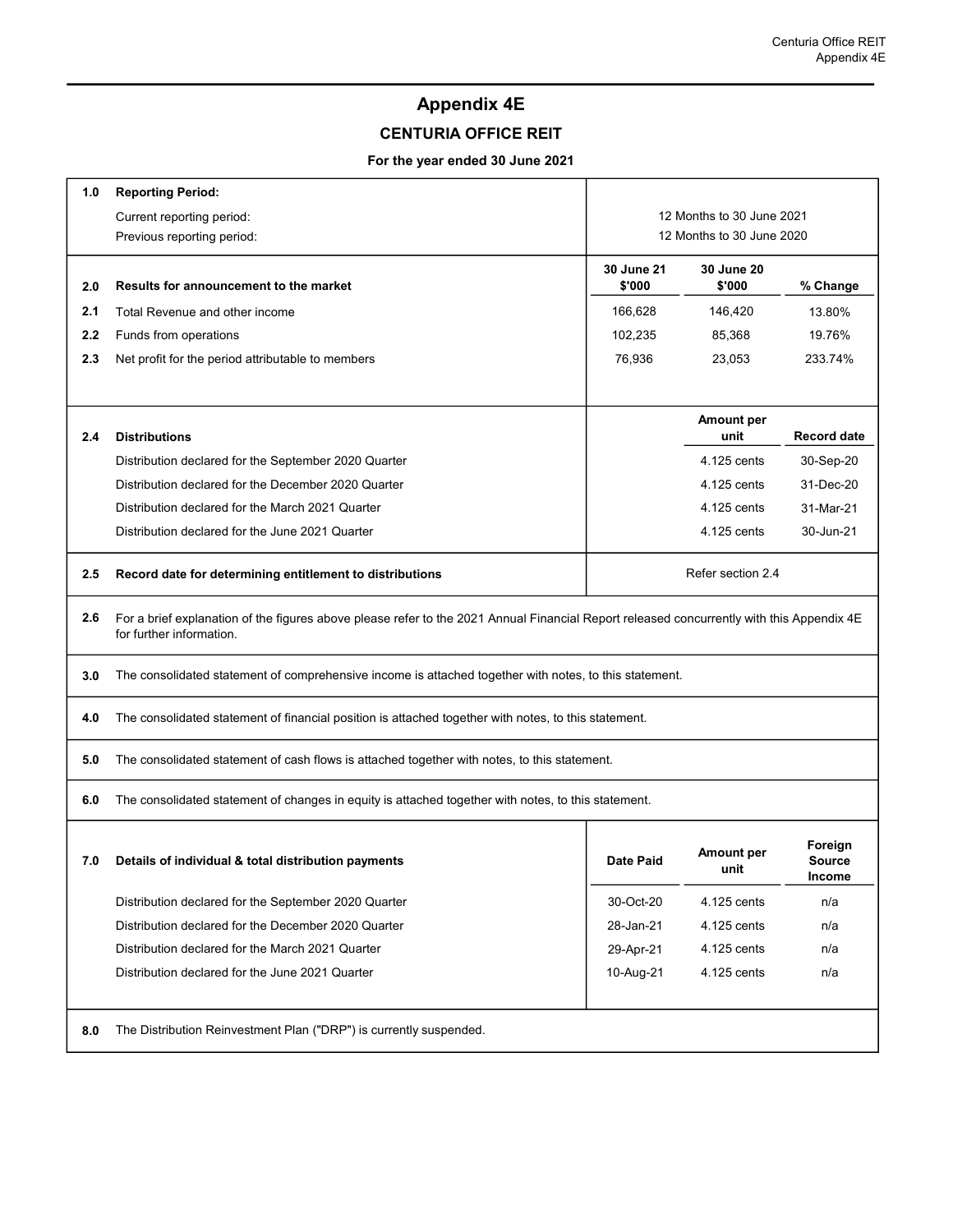## Appendix 4E

## CENTURIA OFFICE REIT

## For the year ended 30 June 2021

| 1.0 | <b>Reporting Period:</b>                                                                                                                                              |                                                        |                           |                                           |  |  |  |
|-----|-----------------------------------------------------------------------------------------------------------------------------------------------------------------------|--------------------------------------------------------|---------------------------|-------------------------------------------|--|--|--|
|     | Current reporting period:                                                                                                                                             | 12 Months to 30 June 2021<br>12 Months to 30 June 2020 |                           |                                           |  |  |  |
|     | Previous reporting period:                                                                                                                                            |                                                        |                           |                                           |  |  |  |
| 2.0 | Results for announcement to the market                                                                                                                                | <b>30 June 21</b><br>\$'000                            | 30 June 20<br>\$'000      | % Change                                  |  |  |  |
| 2.1 | Total Revenue and other income                                                                                                                                        | 166,628                                                | 146,420                   | 13.80%                                    |  |  |  |
| 2.2 | Funds from operations                                                                                                                                                 | 102,235                                                | 85,368                    | 19.76%                                    |  |  |  |
| 2.3 | Net profit for the period attributable to members                                                                                                                     | 76,936                                                 | 23,053                    | 233.74%                                   |  |  |  |
| 2.4 | <b>Distributions</b>                                                                                                                                                  |                                                        | Amount per<br>unit        | <b>Record date</b>                        |  |  |  |
|     | Distribution declared for the September 2020 Quarter                                                                                                                  |                                                        | 4.125 cents               | 30-Sep-20                                 |  |  |  |
|     | Distribution declared for the December 2020 Quarter                                                                                                                   |                                                        | 4.125 cents               | 31-Dec-20                                 |  |  |  |
|     | Distribution declared for the March 2021 Quarter                                                                                                                      |                                                        | 4.125 cents               | 31-Mar-21                                 |  |  |  |
|     | Distribution declared for the June 2021 Quarter                                                                                                                       |                                                        | 4.125 cents               | 30-Jun-21                                 |  |  |  |
| 2.5 | Record date for determining entitlement to distributions                                                                                                              |                                                        | Refer section 2.4         |                                           |  |  |  |
| 2.6 | For a brief explanation of the figures above please refer to the 2021 Annual Financial Report released concurrently with this Appendix 4E<br>for further information. |                                                        |                           |                                           |  |  |  |
| 3.0 | The consolidated statement of comprehensive income is attached together with notes, to this statement.                                                                |                                                        |                           |                                           |  |  |  |
| 4.0 | The consolidated statement of financial position is attached together with notes, to this statement.                                                                  |                                                        |                           |                                           |  |  |  |
| 5.0 | The consolidated statement of cash flows is attached together with notes, to this statement.                                                                          |                                                        |                           |                                           |  |  |  |
| 6.0 | The consolidated statement of changes in equity is attached together with notes, to this statement.                                                                   |                                                        |                           |                                           |  |  |  |
| 7.0 | Details of individual & total distribution payments                                                                                                                   | Date Paid                                              | <b>Amount per</b><br>unit | Foreign<br><b>Source</b><br><b>Income</b> |  |  |  |
|     | Distribution declared for the September 2020 Quarter                                                                                                                  | 30-Oct-20                                              | 4.125 cents               | n/a                                       |  |  |  |
|     | Distribution declared for the December 2020 Quarter                                                                                                                   | 28-Jan-21                                              | 4.125 cents               | n/a                                       |  |  |  |
|     | Distribution declared for the March 2021 Quarter                                                                                                                      | 29-Apr-21                                              | 4.125 cents               | n/a                                       |  |  |  |
|     | Distribution declared for the June 2021 Quarter                                                                                                                       | 10-Aug-21                                              | 4.125 cents               | n/a                                       |  |  |  |
| 8.0 | The Distribution Reinvestment Plan ("DRP") is currently suspended.                                                                                                    |                                                        |                           |                                           |  |  |  |